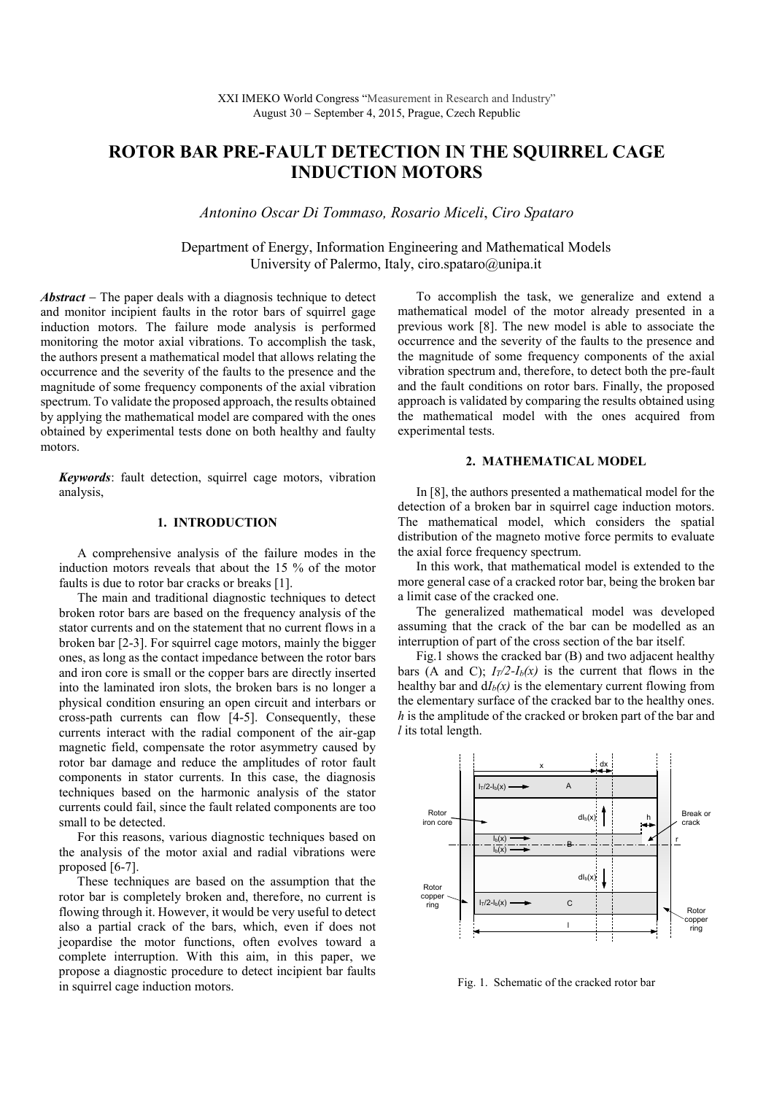# **ROTOR BAR PRE-FAULT DETECTION IN THE SQUIRREL CAGE INDUCTION MOTORS**

*Antonino Oscar Di Tommaso, Rosario Miceli*, *Ciro Spataro*

Department of Energy, Information Engineering and Mathematical Models University of Palermo, Italy, ciro.spataro@unipa.it

*Abstract* − The paper deals with a diagnosis technique to detect and monitor incipient faults in the rotor bars of squirrel gage induction motors. The failure mode analysis is performed monitoring the motor axial vibrations. To accomplish the task, the authors present a mathematical model that allows relating the occurrence and the severity of the faults to the presence and the magnitude of some frequency components of the axial vibration spectrum. To validate the proposed approach, the results obtained by applying the mathematical model are compared with the ones obtained by experimental tests done on both healthy and faulty motors.

*Keywords*: fault detection, squirrel cage motors, vibration analysis,

# **1. INTRODUCTION**

A comprehensive analysis of the failure modes in the induction motors reveals that about the 15 % of the motor faults is due to rotor bar cracks or breaks [1].

The main and traditional diagnostic techniques to detect broken rotor bars are based on the frequency analysis of the stator currents and on the statement that no current flows in a broken bar [2-3]. For squirrel cage motors, mainly the bigger ones, as long as the contact impedance between the rotor bars and iron core is small or the copper bars are directly inserted into the laminated iron slots, the broken bars is no longer a physical condition ensuring an open circuit and interbars or cross-path currents can flow [4-5]. Consequently, these currents interact with the radial component of the air-gap magnetic field, compensate the rotor asymmetry caused by rotor bar damage and reduce the amplitudes of rotor fault components in stator currents. In this case, the diagnosis techniques based on the harmonic analysis of the stator currents could fail, since the fault related components are too small to be detected.

For this reasons, various diagnostic techniques based on the analysis of the motor axial and radial vibrations were proposed [6-7].

These techniques are based on the assumption that the rotor bar is completely broken and, therefore, no current is flowing through it. However, it would be very useful to detect also a partial crack of the bars, which, even if does not jeopardise the motor functions, often evolves toward a complete interruption. With this aim, in this paper, we propose a diagnostic procedure to detect incipient bar faults in squirrel cage induction motors.

To accomplish the task, we generalize and extend a mathematical model of the motor already presented in a previous work [8]. The new model is able to associate the occurrence and the severity of the faults to the presence and the magnitude of some frequency components of the axial vibration spectrum and, therefore, to detect both the pre-fault and the fault conditions on rotor bars. Finally, the proposed approach is validated by comparing the results obtained using the mathematical model with the ones acquired from experimental tests.

## **2. MATHEMATICAL MODEL**

In [8], the authors presented a mathematical model for the detection of a broken bar in squirrel cage induction motors. The mathematical model, which considers the spatial distribution of the magneto motive force permits to evaluate the axial force frequency spectrum.

In this work, that mathematical model is extended to the more general case of a cracked rotor bar, being the broken bar a limit case of the cracked one.

The generalized mathematical model was developed assuming that the crack of the bar can be modelled as an interruption of part of the cross section of the bar itself.

Fig.1 shows the cracked bar (B) and two adjacent healthy bars (A and C);  $I_T/2-I_b(x)$  is the current that flows in the healthy bar and  $dI_b(x)$  is the elementary current flowing from the elementary surface of the cracked bar to the healthy ones. *h* is the amplitude of the cracked or broken part of the bar and *l* its total length.



Fig. 1. Schematic of the cracked rotor bar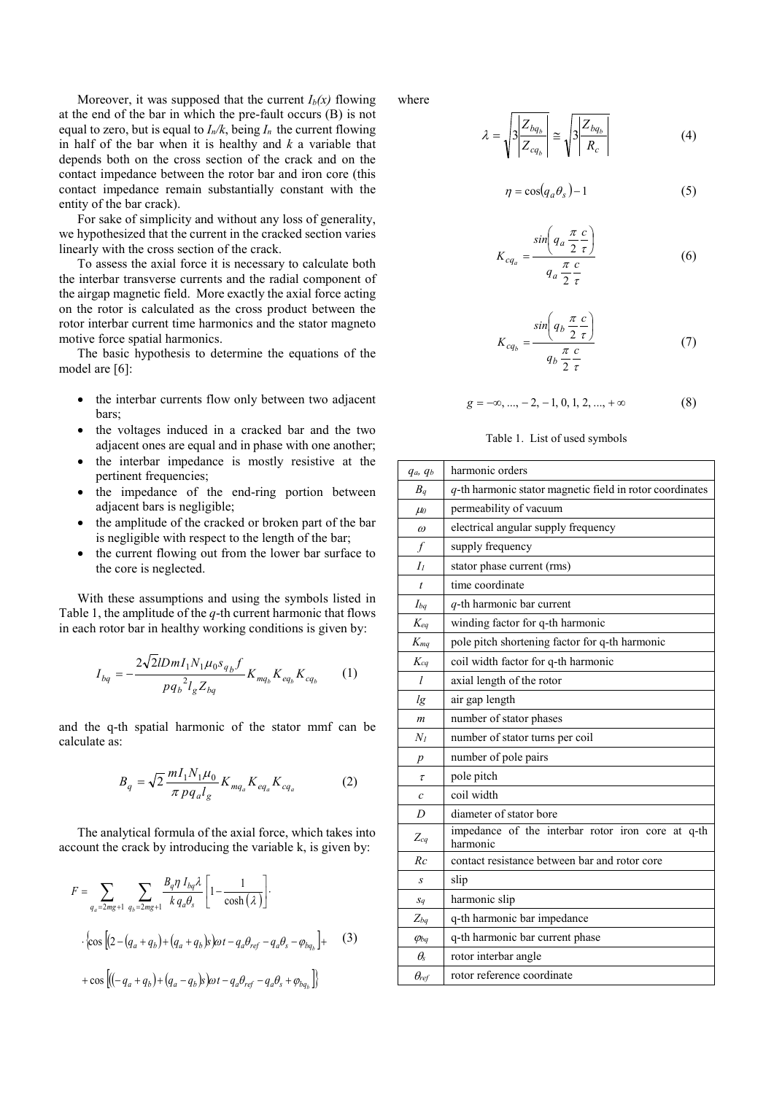Moreover, it was supposed that the current  $I_b(x)$  flowing at the end of the bar in which the pre-fault occurs (B) is not equal to zero, but is equal to  $I_n/k$ , being  $I_n$  the current flowing in half of the bar when it is healthy and *k* a variable that depends both on the cross section of the crack and on the contact impedance between the rotor bar and iron core (this contact impedance remain substantially constant with the entity of the bar crack).

For sake of simplicity and without any loss of generality, we hypothesized that the current in the cracked section varies linearly with the cross section of the crack.

To assess the axial force it is necessary to calculate both the interbar transverse currents and the radial component of the airgap magnetic field. More exactly the axial force acting on the rotor is calculated as the cross product between the rotor interbar current time harmonics and the stator magneto motive force spatial harmonics.

The basic hypothesis to determine the equations of the model are [6]:

- the interbar currents flow only between two adjacent bars;
- the voltages induced in a cracked bar and the two adjacent ones are equal and in phase with one another;
- the interbar impedance is mostly resistive at the pertinent frequencies;
- the impedance of the end-ring portion between adjacent bars is negligible;
- the amplitude of the cracked or broken part of the bar is negligible with respect to the length of the bar;
- the current flowing out from the lower bar surface to the core is neglected.

With these assumptions and using the symbols listed in Table 1, the amplitude of the *q*-th current harmonic that flows in each rotor bar in healthy working conditions is given by:

$$
I_{bq} = -\frac{2\sqrt{2}l Dm I_1 N_1 \mu_0 s_{q_b} f}{p q_b^2 l_g Z_{bq}} K_{mq_b} K_{eq_b} K_{cq_b}
$$
 (1)

and the q-th spatial harmonic of the stator mmf can be calculate as:

$$
B_q = \sqrt{2} \frac{m I_1 N_1 \mu_0}{\pi \, p \, q_a l_g} K_{m q_a} K_{e q_a} K_{c q_a} \tag{2}
$$

The analytical formula of the axial force, which takes into account the crack by introducing the variable k, is given by:

$$
F = \sum_{q_a = 2mg + 1} \sum_{q_b = 2mg + 1} \frac{B_q \eta I_{bq} \lambda}{k q_a \theta_s} \left[ 1 - \frac{1}{\cosh(\lambda)} \right].
$$
  
. 
$$
\left\{ \cos \left[ (2 - (q_a + q_b) + (q_a + q_b)s)\omega t - q_a \theta_{ref} - q_a \theta_s - \varphi_{bq_b} \right] + \cos \left[ ((-q_a + q_b) + (q_a - q_b)s)\omega t - q_a \theta_{ref} - q_a \theta_s + \varphi_{bq_b} \right] \right\}
$$
(3)

where

$$
\lambda = \sqrt{3 \left| \frac{Z_{bq_b}}{Z_{cq_b}} \right|} \cong \sqrt{3 \left| \frac{Z_{bq_b}}{R_c} \right|}
$$
(4)

$$
\eta = \cos(q_a \theta_s) - 1 \tag{5}
$$

$$
K_{cq_a} = \frac{\sin\left(q_a \frac{\pi}{2} \frac{c}{\tau}\right)}{q_a \frac{\pi}{2} \frac{c}{\tau}}
$$
(6)

$$
K_{cq_b} = \frac{\sin\left(q_b \frac{\pi}{2} \frac{c}{\tau}\right)}{q_b \frac{\pi}{2} \frac{c}{\tau}}
$$
 (7)

$$
g = -\infty, ..., -2, -1, 0, 1, 2, ..., +\infty
$$
 (8)

## Table 1. List of used symbols

| qa, qb            | harmonic orders                                               |
|-------------------|---------------------------------------------------------------|
| $B_q$             | q-th harmonic stator magnetic field in rotor coordinates      |
| $\mu$             | permeability of vacuum                                        |
| $\omega$          | electrical angular supply frequency                           |
| $\int$            | supply frequency                                              |
| I <sub>1</sub>    | stator phase current (rms)                                    |
| $\dot{t}$         | time coordinate                                               |
| $I_{ba}$          | $q$ -th harmonic bar current                                  |
| $K_{eq}$          | winding factor for q-th harmonic                              |
| $K_{mq}$          | pole pitch shortening factor for q-th harmonic                |
| $K_{ca}$          | coil width factor for q-th harmonic                           |
| l                 | axial length of the rotor                                     |
| lg                | air gap length                                                |
| $\mathfrak{m}$    | number of stator phases                                       |
| $N_I$             | number of stator turns per coil                               |
| $\boldsymbol{p}$  | number of pole pairs                                          |
| $\tau$            | pole pitch                                                    |
| $\mathcal{C}_{0}$ | coil width                                                    |
| D                 | diameter of stator bore                                       |
| $Z_{cq}$          | impedance of the interbar rotor iron core at q-th<br>harmonic |
| Rc                | contact resistance between bar and rotor core                 |
| S                 | slip                                                          |
| $S_q$             | harmonic slip                                                 |
| $Z_{ba}$          | q-th harmonic bar impedance                                   |
| $\varphi_{bq}$    | q-th harmonic bar current phase                               |
| $\theta_{s}$      | rotor interbar angle                                          |
| $\theta_{ref}$    | rotor reference coordinate                                    |
|                   |                                                               |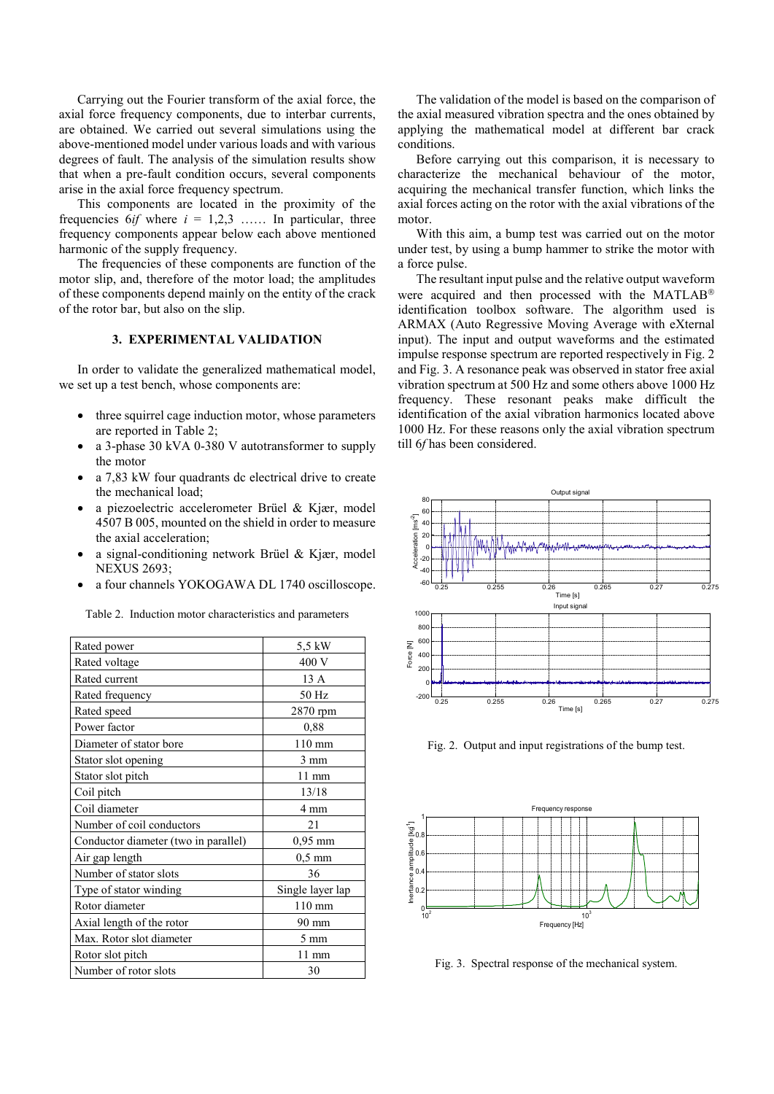Carrying out the Fourier transform of the axial force, the axial force frequency components, due to interbar currents, are obtained. We carried out several simulations using the above-mentioned model under various loads and with various degrees of fault. The analysis of the simulation results show that when a pre-fault condition occurs, several components arise in the axial force frequency spectrum.

This components are located in the proximity of the frequencies  $6if$  where  $i = 1,2,3$  ...... In particular, three frequency components appear below each above mentioned harmonic of the supply frequency.

The frequencies of these components are function of the motor slip, and, therefore of the motor load; the amplitudes of these components depend mainly on the entity of the crack of the rotor bar, but also on the slip.

## **3. EXPERIMENTAL VALIDATION**

In order to validate the generalized mathematical model, we set up a test bench, whose components are:

- three squirrel cage induction motor, whose parameters are reported in Table 2;
- a 3-phase 30 kVA 0-380 V autotransformer to supply the motor
- a 7.83 kW four quadrants dc electrical drive to create the mechanical load;
- a piezoelectric accelerometer Brüel & Kjær, model 4507 B 005, mounted on the shield in order to measure the axial acceleration;
- a signal-conditioning network Brüel & Kjær, model NEXUS 2693;
- a four channels YOKOGAWA DL 1740 oscilloscope.

Table 2. Induction motor characteristics and parameters

| Rated power                          | 5,5 kW           |
|--------------------------------------|------------------|
| Rated voltage                        | 400 V            |
| Rated current                        | 13 A             |
| Rated frequency                      | 50 Hz            |
| Rated speed                          | 2870 rpm         |
| Power factor                         | 0,88             |
| Diameter of stator bore              | $110 \text{ mm}$ |
| Stator slot opening                  | 3 mm             |
| Stator slot pitch                    | 11 mm            |
| Coil pitch                           | 13/18            |
| Coil diameter                        | 4 mm             |
| Number of coil conductors            | 21               |
| Conductor diameter (two in parallel) | $0,95$ mm        |
| Air gap length                       | $0,5$ mm         |
| Number of stator slots               | 36               |
| Type of stator winding               | Single layer lap |
| Rotor diameter                       | $110 \text{ mm}$ |
| Axial length of the rotor            | 90 mm            |
| Max. Rotor slot diameter             | $5 \text{ mm}$   |
| Rotor slot pitch                     | $11 \text{ mm}$  |
| Number of rotor slots                | 30               |

The validation of the model is based on the comparison of the axial measured vibration spectra and the ones obtained by applying the mathematical model at different bar crack conditions.

Before carrying out this comparison, it is necessary to characterize the mechanical behaviour of the motor, acquiring the mechanical transfer function, which links the axial forces acting on the rotor with the axial vibrations of the motor.

With this aim, a bump test was carried out on the motor under test, by using a bump hammer to strike the motor with a force pulse.

The resultant input pulse and the relative output waveform were acquired and then processed with the MATLAB<sup>®</sup> identification toolbox software. The algorithm used is ARMAX (Auto Regressive Moving Average with eXternal input). The input and output waveforms and the estimated impulse response spectrum are reported respectively in Fig. 2 and Fig. 3. A resonance peak was observed in stator free axial vibration spectrum at 500 Hz and some others above 1000 Hz frequency. These resonant peaks make difficult the identification of the axial vibration harmonics located above 1000 Hz. For these reasons only the axial vibration spectrum till 6*f* has been considered.



Fig. 2. Output and input registrations of the bump test.



Fig. 3. Spectral response of the mechanical system.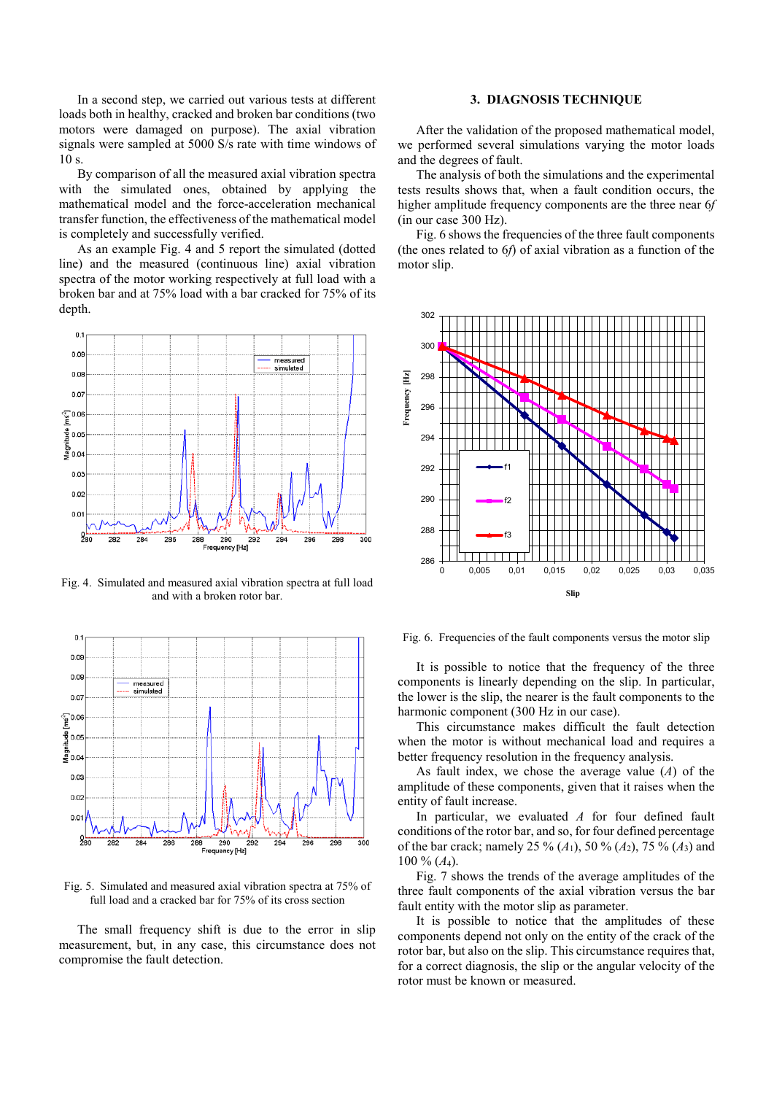In a second step, we carried out various tests at different loads both in healthy, cracked and broken bar conditions (two motors were damaged on purpose). The axial vibration signals were sampled at 5000 S/s rate with time windows of  $10 s$ 

By comparison of all the measured axial vibration spectra with the simulated ones, obtained by applying the mathematical model and the force-acceleration mechanical transfer function, the effectiveness of the mathematical model is completely and successfully verified.

As an example Fig. 4 and 5 report the simulated (dotted line) and the measured (continuous line) axial vibration spectra of the motor working respectively at full load with a broken bar and at 75% load with a bar cracked for 75% of its depth.



Fig. 4. Simulated and measured axial vibration spectra at full load and with a broken rotor bar.



Fig. 5. Simulated and measured axial vibration spectra at 75% of full load and a cracked bar for 75% of its cross section

The small frequency shift is due to the error in slip measurement, but, in any case, this circumstance does not compromise the fault detection.

## **3. DIAGNOSIS TECHNIQUE**

After the validation of the proposed mathematical model, we performed several simulations varying the motor loads and the degrees of fault.

The analysis of both the simulations and the experimental tests results shows that, when a fault condition occurs, the higher amplitude frequency components are the three near 6*f* (in our case 300 Hz).

Fig. 6 shows the frequencies of the three fault components (the ones related to 6*f*) of axial vibration as a function of the motor slip.



Fig. 6. Frequencies of the fault components versus the motor slip

It is possible to notice that the frequency of the three components is linearly depending on the slip. In particular, the lower is the slip, the nearer is the fault components to the harmonic component (300 Hz in our case).

This circumstance makes difficult the fault detection when the motor is without mechanical load and requires a better frequency resolution in the frequency analysis.

As fault index, we chose the average value (*A*) of the amplitude of these components, given that it raises when the entity of fault increase.

In particular, we evaluated *A* for four defined fault conditions of the rotor bar, and so, for four defined percentage of the bar crack; namely 25 %  $(A_1)$ , 50 %  $(A_2)$ , 75 %  $(A_3)$  and 100 % (*A*4).

Fig. 7 shows the trends of the average amplitudes of the three fault components of the axial vibration versus the bar fault entity with the motor slip as parameter.

It is possible to notice that the amplitudes of these components depend not only on the entity of the crack of the rotor bar, but also on the slip. This circumstance requires that, for a correct diagnosis, the slip or the angular velocity of the rotor must be known or measured.